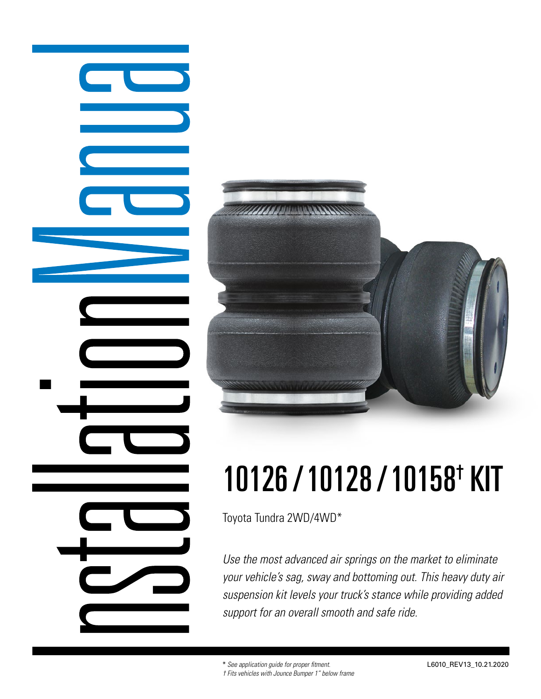



# 10126 / 10128 / 10158† KIT

Toyota Tundra 2WD/4WD\*

*Use the most advanced air springs on the market to eliminate your vehicle's sag, sway and bottoming out. This heavy duty air suspension kit levels your truck's stance while providing added support for an overall smooth and safe ride.*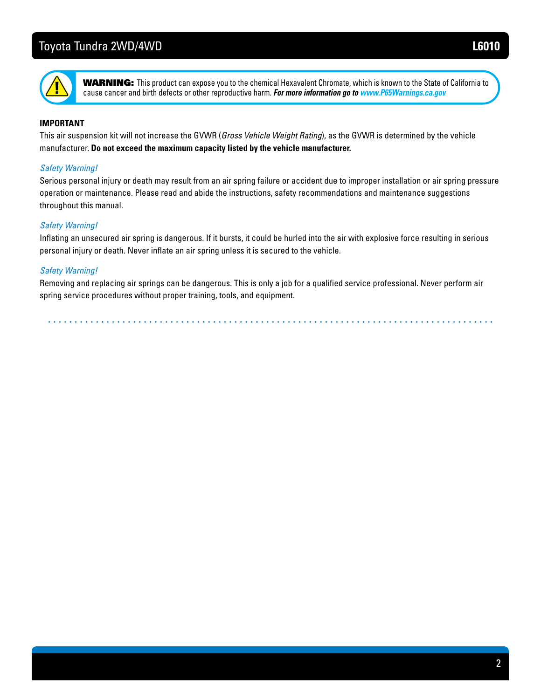

**Thank you and an air suspense in** a product can expose you to the chemical Hexavalent Chromate, which is known to the State of California to **entire manual prior to started in the interproductive once information go to www.P65Warnings.ca.gov** cause cancer and birth defects or other reproductive harm. **For more information go to www.P65Warnings.ca.gov** 

#### **IMPORTANT**

This air suspension kit will not increase the GVWR (*Gross Vehicle Weight Rating*), as the GVWR is determined by the vehicle manufacturer. **Do not exceed the maximum capacity listed by the vehicle manufacturer.**

#### *Safety Warning!*

Serious personal injury or death may result from an air spring failure or accident due to improper installation or air spring pressure operation or maintenance. Please read and abide the instructions, safety recommendations and maintenance suggestions throughout this manual.

#### *Safety Warning!*

Inflating an unsecured air spring is dangerous. If it bursts, it could be hurled into the air with explosive force resulting in serious personal injury or death. Never inflate an air spring unless it is secured to the vehicle.

#### *Safety Warning!*

Removing and replacing air springs can be dangerous. This is only a job for a qualified service professional. Never perform air spring service procedures without proper training, tools, and equipment.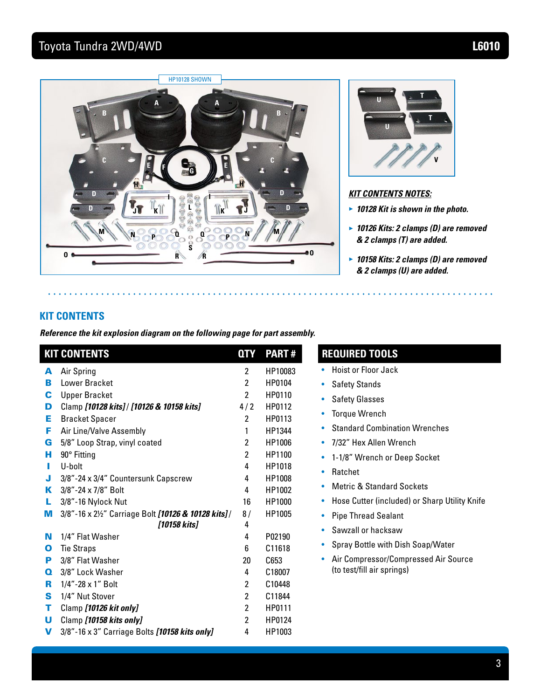$\bullet$  ,  $\bullet$   $\bullet$ 





#### *KIT CONTENTS NOTES:*

- **►**  *10128 Kit is shown in the photo.*
- **►** *10126 Kits: 2 clamps (D) are removed & 2 clamps (T) are added.*
- **►**  *10158 Kits: 2 clamps (D) are removed & 2 clamps (U) are added.*

### **KIT CONTENTS**

*Reference the kit explosion diagram on the following page for part assembly.*

|             | <b>KIT CONTENTS</b>                                 | <b>QTY</b>     | <b>PART#</b> | <b>REQUIRED TOOLS</b>                              |
|-------------|-----------------------------------------------------|----------------|--------------|----------------------------------------------------|
| A           | Air Spring                                          | $\mathbf{2}$   | HP10083      | <b>Hoist or Floor Jack</b><br>۰                    |
| в           | Lower Bracket                                       | $\mathbf{2}$   | HP0104       | <b>Safety Stands</b><br>۰                          |
| C           | <b>Upper Bracket</b>                                | $\overline{2}$ | HP0110       | <b>Safety Glasses</b><br>$\bullet$                 |
| D           | Clamp [10128 kits] / [10126 & 10158 kits]           | 4/2            | HP0112       | <b>Torque Wrench</b>                               |
| Е           | <b>Bracket Spacer</b>                               | $\overline{2}$ | HP0113       | ۰                                                  |
| F           | Air Line/Valve Assembly                             | 1              | HP1344       | <b>Standard Combination Wrenches</b><br>۰          |
| G           | 5/8" Loop Strap, vinyl coated                       | $\overline{2}$ | HP1006       | 7/32" Hex Allen Wrench<br>$\bullet$                |
| н           | 90° Fitting                                         | $\mathbf{2}$   | HP1100       | 1-1/8" Wrench or Deep Socket<br>۰                  |
| ш           | U-bolt                                              | 4              | HP1018       | Ratchet<br>۰                                       |
| J           | 3/8"-24 x 3/4" Countersunk Capscrew                 | 4              | HP1008       |                                                    |
| ĸ           | 3/8"-24 x 7/8" Bolt                                 | 4              | HP1002       | <b>Metric &amp; Standard Sockets</b><br>۰          |
| L           | 3/8"-16 Nylock Nut                                  | 16             | HP1000       | Hose Cutter (included) or Sharp Utility Knife<br>۰ |
| м           | 3/8"-16 x 21/2" Carriage Bolt [10126 & 10128 kits]/ | 8/             | HP1005       | <b>Pipe Thread Sealant</b><br>۰                    |
|             | [10158 kits]                                        | 4              |              | Sawzall or hacksaw<br>$\bullet$                    |
| N           | 1/4" Flat Washer                                    | 4              | P02190       | Spray Bottle with Dish Soap/Water<br>$\bullet$     |
| О           | <b>Tie Straps</b>                                   | 6              | C11618       |                                                    |
| P           | 3/8" Flat Washer                                    | 20             | C653         | Air Compressor/Compressed Air Source<br>۰          |
| $\mathbf o$ | 3/8" Lock Washer                                    | 4              | C18007       | (to test/fill air springs)                         |
| R           | 1/4"-28 x 1" Bolt                                   | $\overline{2}$ | C10448       |                                                    |
| S           | 1/4" Nut Stover                                     | $\overline{2}$ | C11844       |                                                    |
| т           | Clamp [10126 kit only]                              | $\overline{2}$ | HP0111       |                                                    |
| U           | Clamp [10158 kits only]                             | $\overline{2}$ | HP0124       |                                                    |
| V           | 3/8"-16 x 3" Carriage Bolts [10158 kits only]       | 4              | HP1003       |                                                    |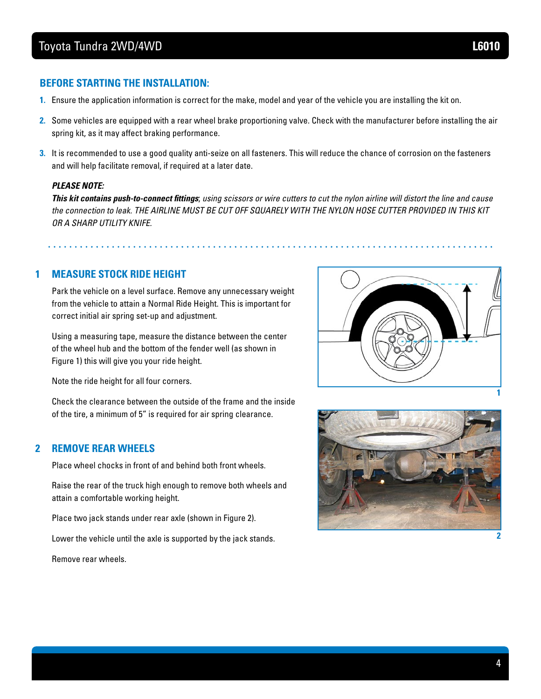#### **BEFORE STARTING THE INSTALLATION:**

- **1.** Ensure the application information is correct for the make, model and year of the vehicle you are installing the kit on.
- **2.** Some vehicles are equipped with a rear wheel brake proportioning valve. Check with the manufacturer before installing the air spring kit, as it may affect braking performance.
- **3.** It is recommended to use a good quality anti-seize on all fasteners. This will reduce the chance of corrosion on the fasteners and will help facilitate removal, if required at a later date.

#### *PLEASE NOTE:*

*This kit contains push-to-connect fittings*; *using scissors or wire cutters to cut the nylon airline will distort the line and cause the connection to leak. THE AIRLINE MUST BE CUT OFF SQUARELY WITH THE NYLON HOSE CUTTER PROVIDED IN THIS KIT OR A SHARP UTILITY KNIFE.*

## **1 MEASURE STOCK RIDE HEIGHT**

Park the vehicle on a level surface. Remove any unnecessary weight from the vehicle to attain a Normal Ride Height. This is important for correct initial air spring set-up and adjustment.

Using a measuring tape, measure the distance between the center of the wheel hub and the bottom of the fender well (as shown in Figure 1) this will give you your ride height.

Note the ride height for all four corners.

Check the clearance between the outside of the frame and the inside of the tire, a minimum of 5" is required for air spring clearance.

#### **2 REMOVE REAR WHEELS**

Place wheel chocks in front of and behind both front wheels.

Raise the rear of the truck high enough to remove both wheels and attain a comfortable working height.

Place two jack stands under rear axle (shown in Figure 2).

Lower the vehicle until the axle is supported by the jack stands.

Remove rear wheels.



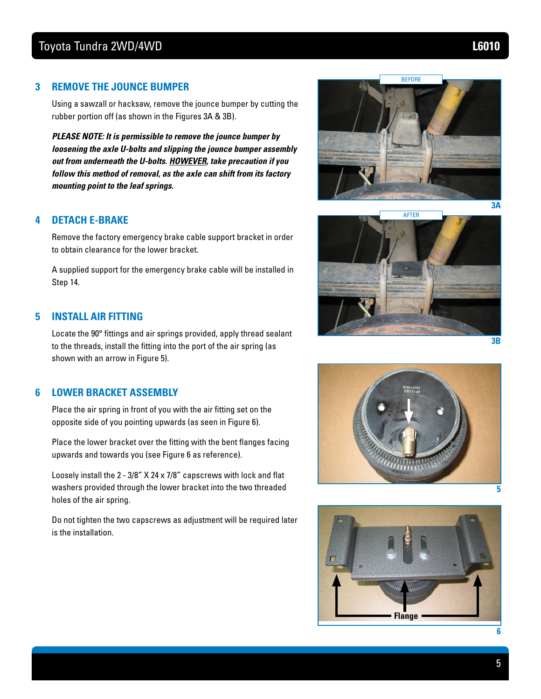#### **3 REMOVE THE JOUNCE BUMPER**

Using a sawzall or hacksaw, remove the jounce bumper by cutting the rubber portion off (as shown in the Figures 3A & 3B).

*PLEASE NOTE: It is permissible to remove the jounce bumper by loosening the axle U-bolts and slipping the jounce bumper assembly out from underneath the U-bolts. HOWEVER, take precaution if you follow this method of removal, as the axle can shift from its factory mounting point to the leaf springs.*

#### **4 DETACH E-BRAKE**

Remove the factory emergency brake cable support bracket in order to obtain clearance for the lower bracket.

A supplied support for the emergency brake cable will be installed in Step 14.

#### **5 INSTALL AIR FITTING**

Locate the 90° fittings and air springs provided, apply thread sealant to the threads, install the fitting into the port of the air spring (as shown with an arrow in Figure 5).

#### **6 LOWER BRACKET ASSEMBLY**

Place the air spring in front of you with the air fitting set on the opposite side of you pointing upwards (as seen in Figure 6).

Place the lower bracket over the fitting with the bent flanges facing upwards and towards you (see Figure 6 as reference).

Loosely install the 2 - 3/8" X 24 x 7/8" capscrews with lock and flat washers provided through the lower bracket into the two threaded holes of the air spring.

Do not tighten the two capscrews as adjustment will be required later is the installation.







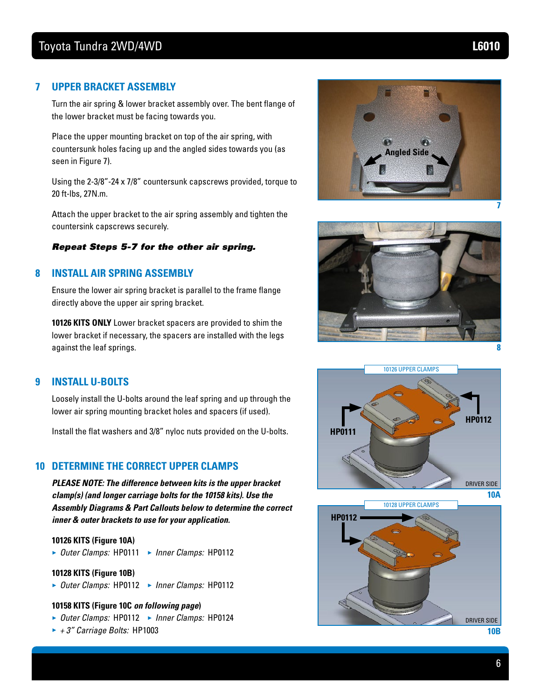#### **7 UPPER BRACKET ASSEMBLY**

Turn the air spring & lower bracket assembly over. The bent flange of the lower bracket must be facing towards you.

Place the upper mounting bracket on top of the air spring, with countersunk holes facing up and the angled sides towards you (as seen in Figure 7).

Using the 2-3/8"-24 x 7/8" countersunk capscrews provided, torque to 20 ft-lbs, 27N.m.

Attach the upper bracket to the air spring assembly and tighten the countersink capscrews securely.

#### *Repeat Steps 5-7 for the other air spring.*

#### **8 INSTALL AIR SPRING ASSEMBLY**

Ensure the lower air spring bracket is parallel to the frame flange directly above the upper air spring bracket.

**10126 KITS ONLY** Lower bracket spacers are provided to shim the lower bracket if necessary, the spacers are installed with the legs against the leaf springs.

#### **9 INSTALL U-BOLTS**

Loosely install the U-bolts around the leaf spring and up through the lower air spring mounting bracket holes and spacers (if used).

Install the flat washers and 3/8" nyloc nuts provided on the U-bolts.

#### **10 DETERMINE THE CORRECT UPPER CLAMPS**

*PLEASE NOTE: The difference between kits is the upper bracket clamp(s) (and longer carriage bolts for the 10158 kits). Use the Assembly Diagrams & Part Callouts below to determine the correct inner & outer brackets to use for your application.*

#### **10126 KITS (Figure 10A)**

**►** *Outer Clamps:* HP0111 **►** *Inner Clamps:* HP0112

#### **10128 KITS (Figure 10B)**

**►** *Outer Clamps:* HP0112 **►** *Inner Clamps:* HP0112

#### **10158 KITS (Figure 10C** *on following page***)**

- **►** *Outer Clamps:* HP0112 **►** *Inner Clamps:* HP0124
- **►** *+ 3" Carriage Bolts:* HP1003







**10B**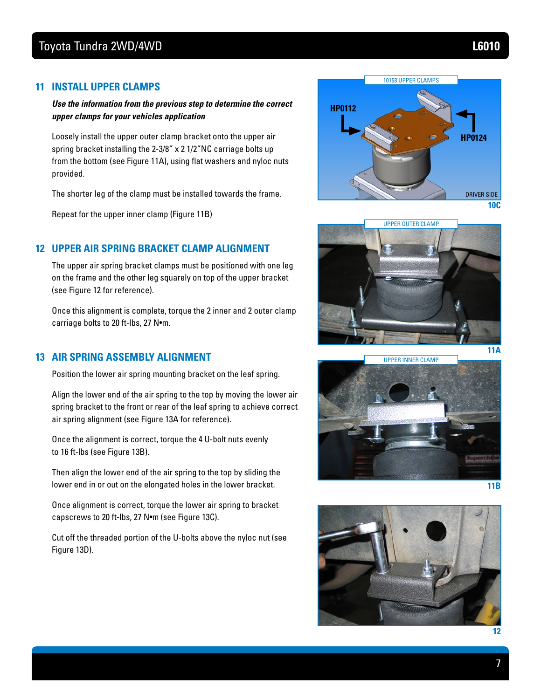#### **11 INSTALL UPPER CLAMPS**

#### *Use the information from the previous step to determine the correct upper clamps for your vehicles application*

Loosely install the upper outer clamp bracket onto the upper air spring bracket installing the 2-3/8" x 2 1/2"NC carriage bolts up from the bottom (see Figure 11A), using flat washers and nyloc nuts provided.

The shorter leg of the clamp must be installed towards the frame.

Repeat for the upper inner clamp (Figure 11B)

#### **12 UPPER AIR SPRING BRACKET CLAMP ALIGNMENT**

The upper air spring bracket clamps must be positioned with one leg on the frame and the other leg squarely on top of the upper bracket (see Figure 12 for reference).

Once this alignment is complete, torque the 2 inner and 2 outer clamp carriage bolts to 20 ft-lbs, 27 N•m.

#### **13 AIR SPRING ASSEMBLY ALIGNMENT**

Position the lower air spring mounting bracket on the leaf spring.

Align the lower end of the air spring to the top by moving the lower air spring bracket to the front or rear of the leaf spring to achieve correct air spring alignment (see Figure 13A for reference).

Once the alignment is correct, torque the 4 U-bolt nuts evenly to 16 ft-lbs (see Figure 13B).

Then align the lower end of the air spring to the top by sliding the lower end in or out on the elongated holes in the lower bracket.

Once alignment is correct, torque the lower air spring to bracket capscrews to 20 ft-lbs, 27 N•m (see Figure 13C).

Cut off the threaded portion of the U-bolts above the nyloc nut (see Figure 13D).







**11B**

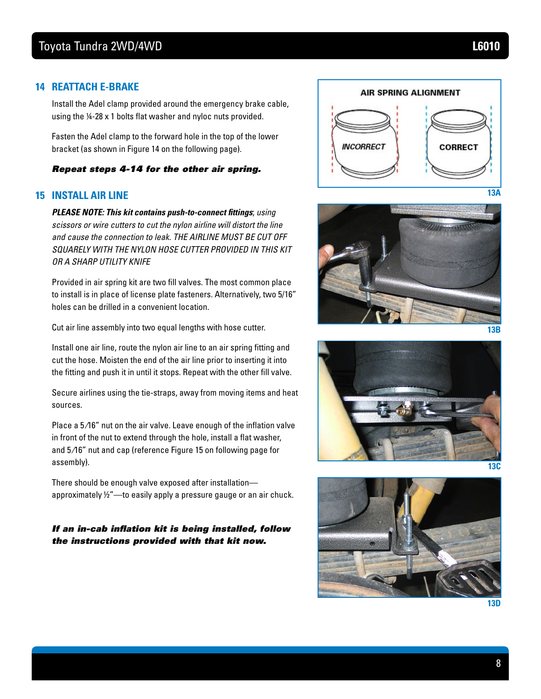#### **14 REATTACH E-BRAKE**

Install the Adel clamp provided around the emergency brake cable, using the ¼-28 x 1 bolts flat washer and nyloc nuts provided.

Fasten the Adel clamp to the forward hole in the top of the lower bracket (as shown in Figure 14 on the following page).

#### *Repeat steps 4-14 for the other air spring.*

#### **15 INSTALL AIR LINE**

*PLEASE NOTE: This kit contains push-to-connect fittings*; *using scissors or wire cutters to cut the nylon airline will distort the line and cause the connection to leak. THE AIRLINE MUST BE CUT OFF SQUARELY WITH THE NYLON HOSE CUTTER PROVIDED IN THIS KIT OR A SHARP UTILITY KNIFE* 

Provided in air spring kit are two fill valves. The most common place to install is in place of license plate fasteners. Alternatively, two 5/16" holes can be drilled in a convenient location.

Cut air line assembly into two equal lengths with hose cutter.

Install one air line, route the nylon air line to an air spring fitting and cut the hose. Moisten the end of the air line prior to inserting it into the fitting and push it in until it stops. Repeat with the other fill valve.

Secure airlines using the tie-straps, away from moving items and heat sources.

Place a 5/16" nut on the air valve. Leave enough of the inflation valve in front of the nut to extend through the hole, install a flat washer, and 5 ⁄16" nut and cap (reference Figure 15 on following page for assembly).

There should be enough valve exposed after installation approximately ½"—to easily apply a pressure gauge or an air chuck.

*If an in-cab inflation kit is being installed, follow the instructions provided with that kit now.*











**13D**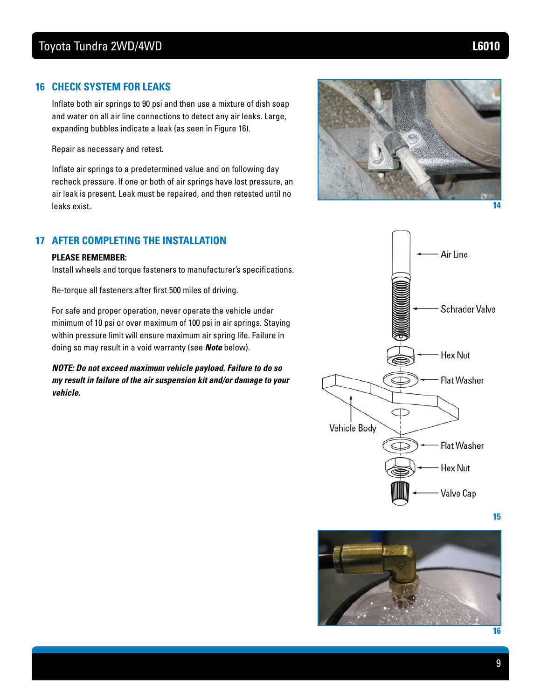#### **16 CHECK SYSTEM FOR LEAKS**

Inflate both air springs to 90 psi and then use a mixture of dish soap and water on all air line connections to detect any air leaks. Large, expanding bubbles indicate a leak (as seen in Figure 16).

Repair as necessary and retest.

Inflate air springs to a predetermined value and on following day recheck pressure. If one or both of air springs have lost pressure, an air leak is present. Leak must be repaired, and then retested until no leaks exist.

#### **17 AFTER COMPLETING THE INSTALLATION**

#### **PLEASE REMEMBER:**

Install wheels and torque fasteners to manufacturer's specifications.

Re-torque all fasteners after first 500 miles of driving.

For safe and proper operation, never operate the vehicle under minimum of 10 psi or over maximum of 100 psi in air springs. Staying within pressure limit will ensure maximum air spring life. Failure in doing so may result in a void warranty (see *Note* below).

*NOTE: Do not exceed maximum vehicle payload. Failure to do so my result in failure of the air suspension kit and/or damage to your vehicle.*